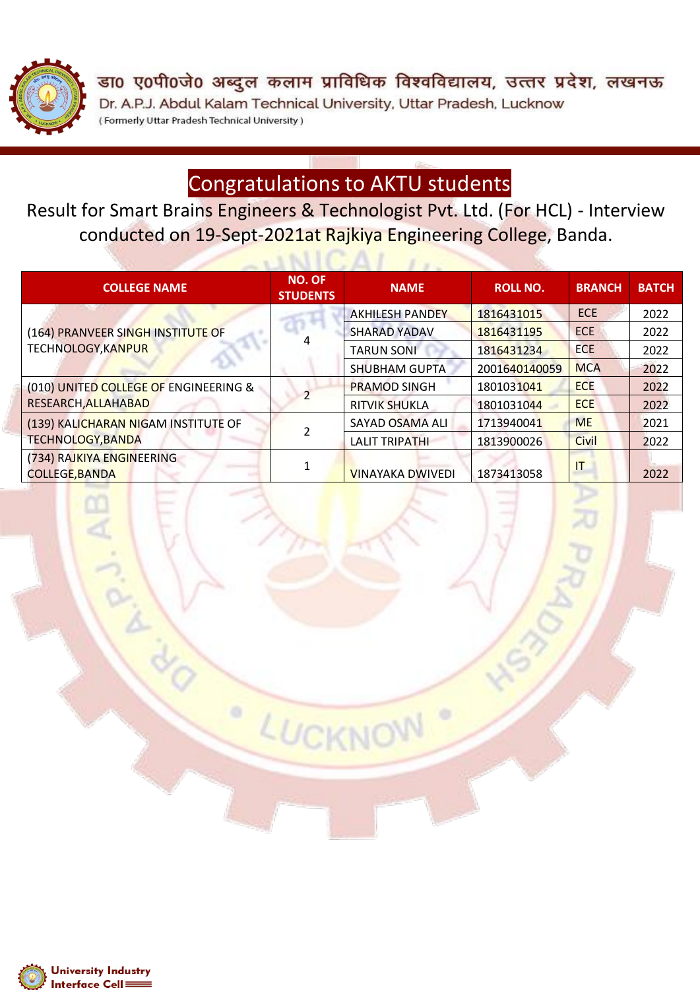

डा0 ए0पी0जे0 अब्दुल कलाम प्राविधिक विश्वविद्यालय, उत्तर प्रदेश, लखनऊ Dr. A.P.J. Abdul Kalam Technical University, Uttar Pradesh, Lucknow (Formerly Uttar Pradesh Technical University)

## Congratulations to AKTU students

Result for Smart Brains Engineers & Technologist Pvt. Ltd. (For HCL) - Interview conducted on 19-Sept-2021at Rajkiya Engineering College, Banda.

 $UNICAL$ 

| <b>COLLEGE NAME</b>                                | <b>NO. OF</b><br><b>STUDENTS</b> | <b>NAME</b>             | <b>ROLL NO.</b> | <b>BRANCH</b> | <b>BATCH</b> |
|----------------------------------------------------|----------------------------------|-------------------------|-----------------|---------------|--------------|
|                                                    |                                  | <b>AKHILESH PANDEY</b>  | 1816431015      | <b>ECE</b>    | 2022         |
| (164) PRANVEER SINGH INSTITUTE OF                  |                                  | <b>SHARAD YADAV</b>     | 1816431195      | <b>ECE</b>    | 2022         |
| <b>TECHNOLOGY, KANPUR</b>                          |                                  | <b>TARUN SONI</b>       | 1816431234      | <b>ECE</b>    | 2022         |
|                                                    |                                  | <b>SHUBHAM GUPTA</b>    | 2001640140059   | <b>MCA</b>    | 2022         |
| (010) UNITED COLLEGE OF ENGINEERING &              |                                  | <b>PRAMOD SINGH</b>     | 1801031041      | <b>ECE</b>    | 2022         |
| RESEARCH, ALLAHABAD                                |                                  | <b>RITVIK SHUKLA</b>    | 1801031044      | <b>ECE</b>    | 2022         |
| (139) KALICHARAN NIGAM INSTITUTE OF                |                                  | SAYAD OSAMA ALI         | 1713940041      | <b>ME</b>     | 2021         |
| <b>TECHNOLOGY, BANDA</b>                           |                                  | <b>LALIT TRIPATHI</b>   | 1813900026      | <b>Civil</b>  | 2022         |
| (734) RAJKIYA ENGINEERING<br><b>COLLEGE, BANDA</b> |                                  | <b>VINAYAKA DWIVEDI</b> | 1873413058      | IT            | 2022         |

LUCKN

o

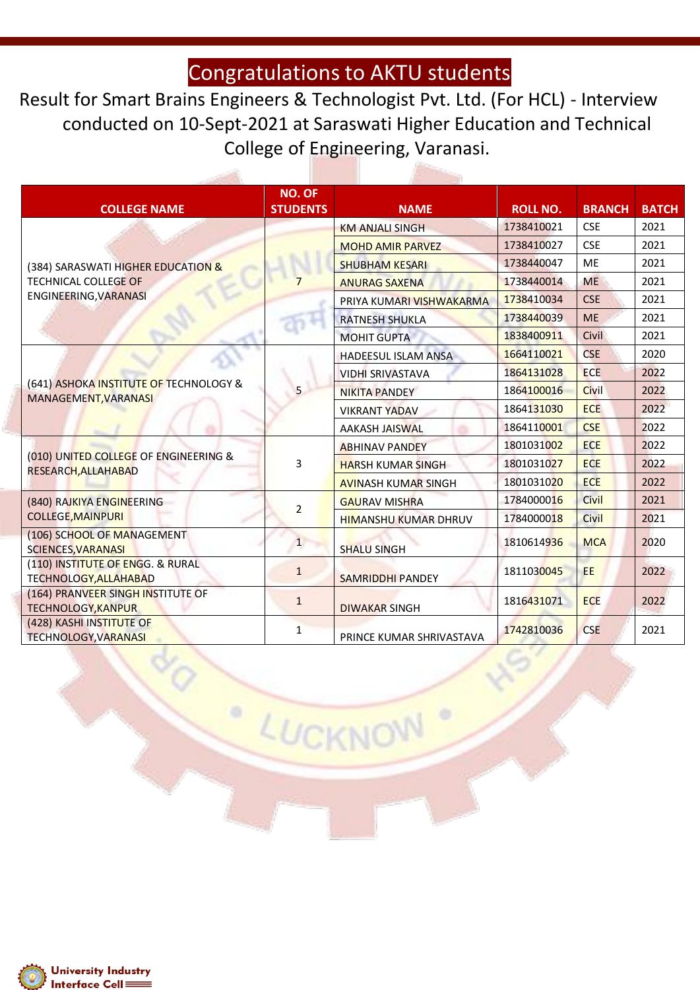Result for Smart Brains Engineers & Technologist Pvt. Ltd. (For HCL) - Interview conducted on 10-Sept-2021 at Saraswati Higher Education and Technical College of Engineering, Varanasi.

| <b>COLLEGE NAME</b>                                              | <b>NO. OF</b><br><b>STUDENTS</b> | <b>NAME</b>                 | <b>ROLL NO.</b> | <b>BRANCH</b> | <b>BATCH</b> |
|------------------------------------------------------------------|----------------------------------|-----------------------------|-----------------|---------------|--------------|
|                                                                  |                                  | <b>KM ANJALI SINGH</b>      | 1738410021      | <b>CSE</b>    | 2021         |
|                                                                  |                                  | <b>MOHD AMIR PARVEZ</b>     | 1738410027      | <b>CSE</b>    | 2021         |
| (384) SARASWATI HIGHER EDUCATION &                               |                                  | <b>SHUBHAM KESARI</b>       | 1738440047      | <b>ME</b>     | 2021         |
| <b>TECHNICAL COLLEGE OF</b>                                      |                                  | <b>ANURAG SAXENA</b>        | 1738440014      | <b>ME</b>     | 2021         |
| ENGINEERING, VARANASI                                            |                                  | PRIYA KUMARI VISHWAKARMA    | 1738410034      | <b>CSE</b>    | 2021         |
|                                                                  |                                  | <b>RATNESH SHUKLA</b>       | 1738440039      | <b>ME</b>     | 2021         |
|                                                                  |                                  | <b>MOHIT GUPTA</b>          | 1838400911      | Civil         | 2021         |
|                                                                  |                                  | <b>HADEESUL ISLAM ANSA</b>  | 1664110021      | <b>CSE</b>    | 2020         |
|                                                                  | 5                                | <b>VIDHI SRIVASTAVA</b>     | 1864131028      | <b>ECE</b>    | 2022         |
| (641) ASHOKA INSTITUTE OF TECHNOLOGY &<br>MANAGEMENT, VARANASI   |                                  | <b>NIKITA PANDEY</b>        | 1864100016      | Civil         | 2022         |
|                                                                  |                                  | <b>VIKRANT YADAV</b>        | 1864131030      | <b>ECE</b>    | 2022         |
|                                                                  |                                  | <b>AAKASH JAISWAL</b>       | 1864110001      | <b>CSE</b>    | 2022         |
|                                                                  | 3                                | <b>ABHINAV PANDEY</b>       | 1801031002      | <b>ECE</b>    | 2022         |
| (010) UNITED COLLEGE OF ENGINEERING &<br>RESEARCH, ALLAHABAD     |                                  | <b>HARSH KUMAR SINGH</b>    | 1801031027      | <b>ECE</b>    | 2022         |
|                                                                  |                                  | <b>AVINASH KUMAR SINGH</b>  | 1801031020      | <b>ECE</b>    | 2022         |
| (840) RAJKIYA ENGINEERING                                        | $\overline{2}$                   | <b>GAURAV MISHRA</b>        | 1784000016      | Civil         | 2021         |
| <b>COLLEGE, MAINPURI</b>                                         |                                  | <b>HIMANSHU KUMAR DHRUV</b> | 1784000018      | Civil         | 2021         |
| (106) SCHOOL OF MANAGEMENT<br><b>SCIENCES, VARANASI</b>          | $\mathbf{1}$                     | <b>SHALU SINGH</b>          | 1810614936      | <b>MCA</b>    | 2020         |
| (110) INSTITUTE OF ENGG. & RURAL<br><b>TECHNOLOGY, ALLAHABAD</b> | $\mathbf{1}$                     | <b>SAMRIDDHI PANDEY</b>     | 1811030045      | EE.           | 2022         |
| (164) PRANVEER SINGH INSTITUTE OF<br><b>TECHNOLOGY, KANPUR</b>   | $\mathbf{1}$                     | <b>DIWAKAR SINGH</b>        | 1816431071      | <b>ECE</b>    | 2022         |
| (428) KASHI INSTITUTE OF<br><b>TECHNOLOGY, VARANASI</b>          | $\mathbf{1}$                     | PRINCE KUMAR SHRIVASTAVA    | 1742810036      | <b>CSE</b>    | 2021         |

LUCKNOW

o

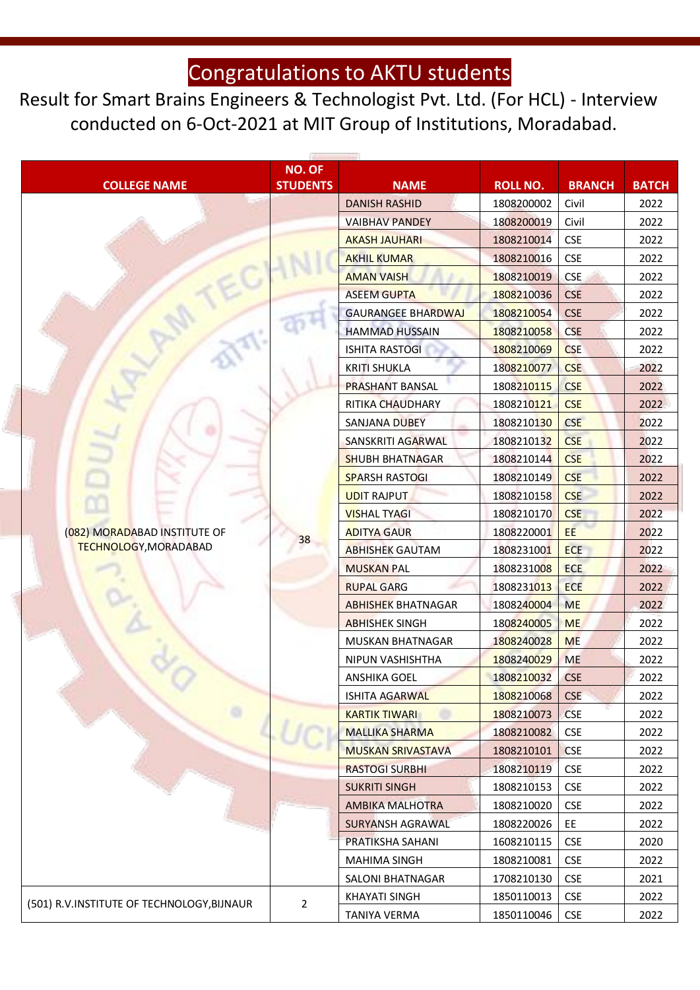Result for Smart Brains Engineers & Technologist Pvt. Ltd. (For HCL) - Interview conducted on 6-Oct-2021 at MIT Group of Institutions, Moradabad.

|                                            | NO. OF          |                           |                 |               |              |
|--------------------------------------------|-----------------|---------------------------|-----------------|---------------|--------------|
| <b>COLLEGE NAME</b>                        | <b>STUDENTS</b> | <b>NAME</b>               | <b>ROLL NO.</b> | <b>BRANCH</b> | <b>BATCH</b> |
|                                            |                 | <b>DANISH RASHID</b>      | 1808200002      | Civil         | 2022         |
|                                            |                 | <b>VAIBHAV PANDEY</b>     | 1808200019      | Civil         | 2022         |
|                                            |                 | <b>AKASH JAUHARI</b>      | 1808210014      | <b>CSE</b>    | 2022         |
|                                            |                 | <b>AKHIL KUMAR</b>        | 1808210016      | <b>CSE</b>    | 2022         |
|                                            |                 | <b>AMAN VAISH</b>         | 1808210019      | <b>CSE</b>    | 2022         |
|                                            |                 | <b>ASEEM GUPTA</b>        | 1808210036      | <b>CSE</b>    | 2022         |
|                                            |                 | <b>GAURANGEE BHARDWAJ</b> | 1808210054      | <b>CSE</b>    | 2022         |
|                                            |                 | <b>HAMMAD HUSSAIN</b>     | 1808210058      | <b>CSE</b>    | 2022         |
|                                            |                 | <b>ISHITA RASTOGI</b>     | 1808210069      | <b>CSE</b>    | 2022         |
|                                            |                 | <b>KRITI SHUKLA</b>       | 1808210077      | <b>CSE</b>    | 2022         |
|                                            |                 | <b>PRASHANT BANSAL</b>    | 1808210115      | <b>CSE</b>    | 2022         |
|                                            |                 | RITIKA CHAUDHARY          | 1808210121      | <b>CSE</b>    | 2022         |
|                                            |                 | <b>SANJANA DUBEY</b>      | 1808210130      | <b>CSE</b>    | 2022         |
|                                            |                 | SANSKRITI AGARWAL         | 1808210132      | <b>CSE</b>    | 2022         |
|                                            |                 | <b>SHUBH BHATNAGAR</b>    | 1808210144      | <b>CSE</b>    | 2022         |
|                                            |                 | <b>SPARSH RASTOGI</b>     | 1808210149      | <b>CSE</b>    | 2022         |
|                                            |                 | <b>UDIT RAJPUT</b>        | 1808210158      | <b>CSE</b>    | 2022         |
|                                            |                 | <b>VISHAL TYAGI</b>       | 1808210170      | <b>CSE</b>    | 2022         |
| (082) MORADABAD INSTITUTE OF               | 38              | <b>ADITYA GAUR</b>        | 1808220001      | EE            | 2022         |
| <b>TECHNOLOGY, MORADABAD</b>               |                 | <b>ABHISHEK GAUTAM</b>    | 1808231001      | <b>ECE</b>    | 2022         |
|                                            |                 | <b>MUSKAN PAL</b>         | 1808231008      | <b>ECE</b>    | 2022         |
|                                            |                 | <b>RUPAL GARG</b>         | 1808231013      | <b>ECE</b>    | 2022         |
|                                            |                 | <b>ABHISHEK BHATNAGAR</b> | 1808240004      | <b>ME</b>     | 2022         |
|                                            |                 | <b>ABHISHEK SINGH</b>     | 1808240005      | <b>ME</b>     | 2022         |
|                                            |                 | MUSKAN BHATNAGAR          | 1808240028      | <b>ME</b>     | 2022         |
|                                            |                 | NIPUN VASHISHTHA          | 1808240029      | <b>ME</b>     | 2022         |
|                                            |                 | ANSHIKA GOEL              | 1808210032      | <b>CSE</b>    | 2022         |
|                                            |                 | <b>ISHITA AGARWAL</b>     | 1808210068      | <b>CSE</b>    | 2022         |
|                                            |                 | <b>KARTIK TIWARI</b>      | 1808210073      | <b>CSE</b>    | 2022         |
|                                            |                 | <b>MALLIKA SHARMA</b>     | 1808210082      | <b>CSE</b>    | 2022         |
|                                            |                 | <b>MUSKAN SRIVASTAVA</b>  | 1808210101      | <b>CSE</b>    | 2022         |
|                                            |                 | <b>RASTOGI SURBHI</b>     | 1808210119      | <b>CSE</b>    | 2022         |
|                                            |                 | <b>SUKRITI SINGH</b>      | 1808210153      | <b>CSE</b>    | 2022         |
|                                            |                 | <b>AMBIKA MALHOTRA</b>    | 1808210020      | CSE           | 2022         |
|                                            |                 | SURYANSH AGRAWAL          | 1808220026      | EE            | 2022         |
|                                            |                 | PRATIKSHA SAHANI          | 1608210115      | <b>CSE</b>    | 2020         |
|                                            |                 | MAHIMA SINGH              | 1808210081      | <b>CSE</b>    | 2022         |
|                                            |                 | SALONI BHATNAGAR          | 1708210130      | <b>CSE</b>    | 2021         |
|                                            | 2               | <b>KHAYATI SINGH</b>      | 1850110013      | <b>CSE</b>    | 2022         |
| (501) R.V.INSTITUTE OF TECHNOLOGY, BIJNAUR |                 | TANIYA VERMA              | 1850110046      | <b>CSE</b>    | 2022         |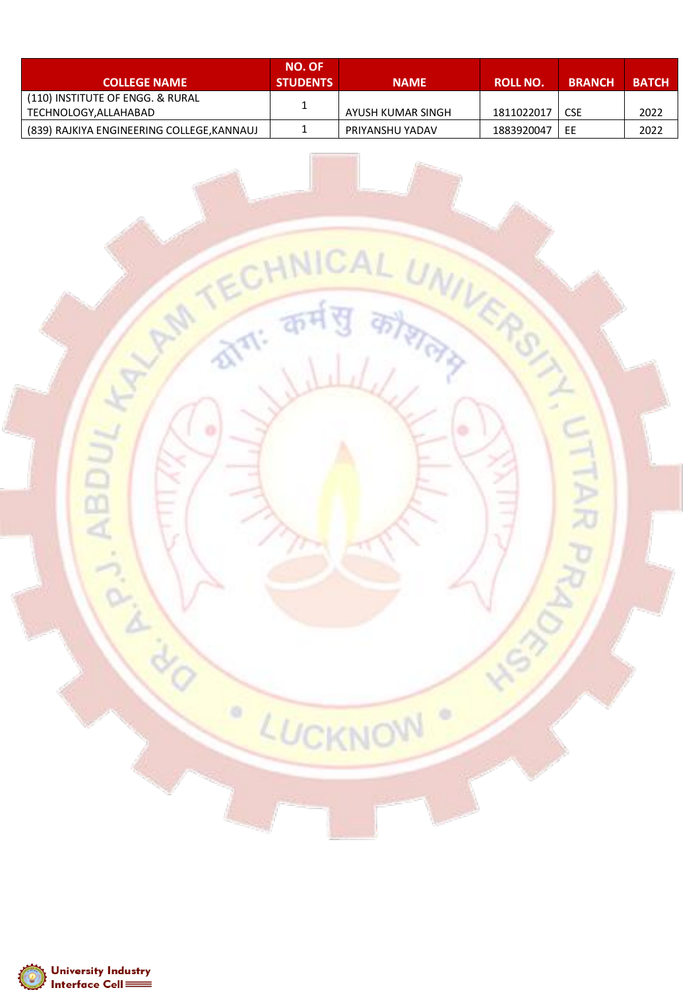| <b>COLLEGE NAME</b>                                      | <b>NO. OF</b><br><b>STUDENTS</b> | <b>NAME</b>       | <b>ROLL NO.</b> | <b>BRANCH</b> | <b>BATCH</b> |
|----------------------------------------------------------|----------------------------------|-------------------|-----------------|---------------|--------------|
| (110) INSTITUTE OF ENGG. & RURAL<br>TECHNOLOGY,ALLAHABAD | 1                                | AYUSH KUMAR SINGH | 1811022017      | <b>CSE</b>    | 2022         |
| (839) RAJKIYA ENGINEERING COLLEGE, KANNAUJ               |                                  | PRIYANSHU YADAV   | 1883920047      | ΕE            | 2022         |

REGISTER AND TECHNICAL UNIVERSITY

LUCKNOW

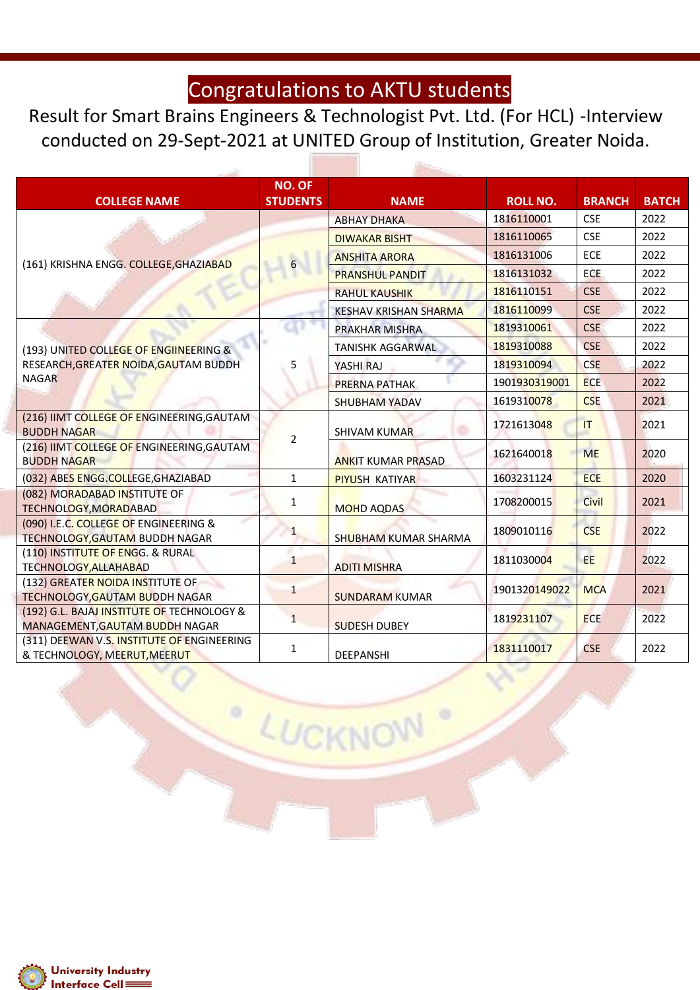Result for Smart Brains Engineers & Technologist Pvt. Ltd. (For HCL) -Interview conducted on 29-Sept-2021 at UNITED Group of Institution, Greater Noida.

| <b>COLLEGE NAME</b>                                                          | <b>NO. OF</b><br><b>STUDENTS</b> | <b>NAME</b>                  | <b>ROLL NO.</b> | <b>BRANCH</b> | <b>BATCH</b> |
|------------------------------------------------------------------------------|----------------------------------|------------------------------|-----------------|---------------|--------------|
|                                                                              |                                  | <b>ABHAY DHAKA</b>           | 1816110001      | <b>CSE</b>    | 2022         |
|                                                                              |                                  | <b>DIWAKAR BISHT</b>         | 1816110065      | <b>CSE</b>    | 2022         |
|                                                                              | $6\overline{6}$                  | <b>ANSHITA ARORA</b>         | 1816131006      | ECE           | 2022         |
| (161) KRISHNA ENGG. COLLEGE, GHAZIABAD                                       |                                  | <b>PRANSHUL PANDIT</b>       | 1816131032      | <b>ECE</b>    | 2022         |
|                                                                              |                                  | <b>RAHUL KAUSHIK</b>         | 1816110151      | <b>CSE</b>    | 2022         |
|                                                                              |                                  | <b>KESHAV KRISHAN SHARMA</b> | 1816110099      | <b>CSE</b>    | 2022         |
|                                                                              |                                  | PRAKHAR MISHRA               | 1819310061      | <b>CSE</b>    | 2022         |
| (193) UNITED COLLEGE OF ENGIINEERING &                                       |                                  | <b>TANISHK AGGARWAL</b>      | 1819310088      | <b>CSE</b>    | 2022         |
| RESEARCH, GREATER NOIDA, GAUTAM BUDDH                                        | 5                                | YASHI RAJ                    | 1819310094      | <b>CSE</b>    | 2022         |
| <b>NAGAR</b>                                                                 |                                  | <b>PRERNA PATHAK</b>         | 1901930319001   | <b>ECE</b>    | 2022         |
|                                                                              |                                  | <b>SHUBHAM YADAV</b>         | 1619310078      | <b>CSE</b>    | 2021         |
| (216) IIMT COLLEGE OF ENGINEERING, GAUTAM<br><b>BUDDH NAGAR</b>              |                                  | <b>SHIVAM KUMAR</b>          | 1721613048      | T             | 2021         |
| (216) IIMT COLLEGE OF ENGINEERING, GAUTAM<br><b>BUDDH NAGAR</b>              | $\overline{2}$                   | <b>ANKIT KUMAR PRASAD</b>    | 1621640018      | <b>ME</b>     | 2020         |
| (032) ABES ENGG.COLLEGE, GHAZIABAD                                           | $\mathbf{1}$                     | <b>PIYUSH KATIYAR</b>        | 1603231124      | <b>ECE</b>    | 2020         |
| (082) MORADABAD INSTITUTE OF<br>TECHNOLOGY, MORADABAD                        | $\mathbf{1}$                     | <b>MOHD AQDAS</b>            | 1708200015      | Civil         | 2021         |
| (090) I.E.C. COLLEGE OF ENGINEERING &<br>TECHNOLOGY, GAUTAM BUDDH NAGAR      | $\mathbf{1}$                     | SHUBHAM KUMAR SHARMA         | 1809010116      | <b>CSE</b>    | 2022         |
| (110) INSTITUTE OF ENGG. & RURAL<br><b>TECHNOLOGY, ALLAHABAD</b>             | $\mathbf{1}$                     | <b>ADITI MISHRA</b>          | 1811030004      | EE            | 2022         |
| (132) GREATER NOIDA INSTITUTE OF<br><b>TECHNOLOGY, GAUTAM BUDDH NAGAR</b>    | $\mathbf{1}$                     | <b>SUNDARAM KUMAR</b>        | 1901320149022   | <b>MCA</b>    | 2021         |
| (192) G.L. BAJAJ INSTITUTE OF TECHNOLOGY &<br>MANAGEMENT, GAUTAM BUDDH NAGAR | $\mathbf{1}$                     | <b>SUDESH DUBEY</b>          | 1819231107      | <b>ECE</b>    | 2022         |
| (311) DEEWAN V.S. INSTITUTE OF ENGINEERING<br>& TECHNOLOGY, MEERUT, MEERUT   | 1                                | DEEPANSHI                    | 1831110017      | <b>CSE</b>    | 2022         |

LUCKNOW

 $\circ$ 

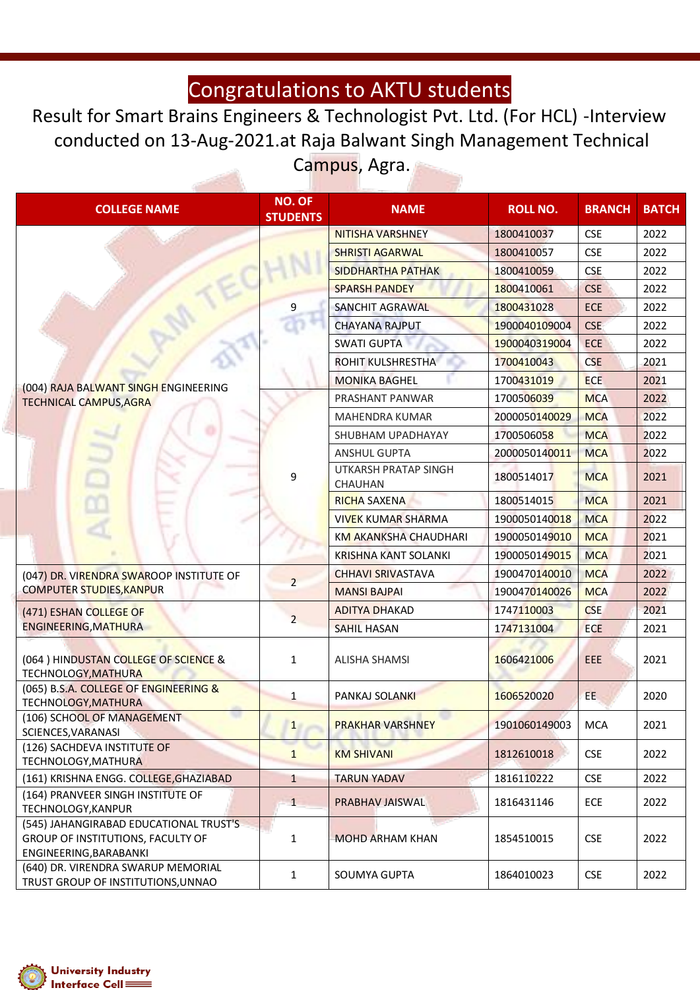Result for Smart Brains Engineers & Technologist Pvt. Ltd. (For HCL) -Interview conducted on 13-Aug-2021.at Raja Balwant Singh Management Technical Campus, Agra.

| <b>COLLEGE NAME</b>                                                                                   | <b>NO. OF</b><br><b>STUDENTS</b> | <b>NAME</b>                            | <b>ROLL NO.</b> | <b>BRANCH</b> | <b>BATCH</b> |
|-------------------------------------------------------------------------------------------------------|----------------------------------|----------------------------------------|-----------------|---------------|--------------|
|                                                                                                       |                                  | <b>NITISHA VARSHNEY</b>                | 1800410037      | <b>CSE</b>    | 2022         |
|                                                                                                       |                                  | <b>SHRISTI AGARWAL</b>                 | 1800410057      | <b>CSE</b>    | 2022         |
|                                                                                                       |                                  | <b>SIDDHARTHA PATHAK</b>               | 1800410059      | <b>CSE</b>    | 2022         |
|                                                                                                       |                                  | <b>SPARSH PANDEY</b>                   | 1800410061      | <b>CSE</b>    | 2022         |
|                                                                                                       | 9                                | <b>SANCHIT AGRAWAL</b>                 | 1800431028      | ECE           | 2022         |
|                                                                                                       |                                  | <b>CHAYANA RAJPUT</b>                  | 1900040109004   | <b>CSE</b>    | 2022         |
|                                                                                                       |                                  | <b>SWATI GUPTA</b>                     | 1900040319004   | <b>ECE</b>    | 2022         |
|                                                                                                       |                                  | ROHIT KULSHRESTHA                      | 1700410043      | <b>CSE</b>    | 2021         |
|                                                                                                       |                                  | <b>MONIKA BAGHEL</b>                   | 1700431019      | <b>ECE</b>    | 2021         |
| (004) RAJA BALWANT SINGH ENGINEERING<br><b>TECHNICAL CAMPUS, AGRA</b>                                 |                                  | PRASHANT PANWAR                        | 1700506039      | <b>MCA</b>    | 2022         |
|                                                                                                       |                                  | MAHENDRA KUMAR                         | 2000050140029   | <b>MCA</b>    | 2022         |
|                                                                                                       |                                  | SHUBHAM UPADHAYAY                      | 1700506058      | <b>MCA</b>    | 2022         |
|                                                                                                       |                                  | <b>ANSHUL GUPTA</b>                    | 2000050140011   | <b>MCA</b>    | 2022         |
|                                                                                                       | 9                                | <b>UTKARSH PRATAP SINGH</b><br>CHAUHAN | 1800514017      | <b>MCA</b>    | 2021         |
|                                                                                                       |                                  | <b>RICHA SAXENA</b>                    | 1800514015      | <b>MCA</b>    | 2021         |
|                                                                                                       |                                  | <b>VIVEK KUMAR SHARMA</b>              | 1900050140018   | <b>MCA</b>    | 2022         |
|                                                                                                       |                                  | <b>KM AKANKSHA CHAUDHARI</b>           | 1900050149010   | <b>MCA</b>    | 2021         |
|                                                                                                       |                                  | <b>KRISHNA KANT SOLANKI</b>            | 1900050149015   | <b>MCA</b>    | 2021         |
| (047) DR. VIRENDRA SWAROOP INSTITUTE OF                                                               |                                  | <b>CHHAVI SRIVASTAVA</b>               | 1900470140010   | <b>MCA</b>    | 2022         |
| <b>COMPUTER STUDIES, KANPUR</b>                                                                       | $\overline{2}$                   | <b>MANSI BAJPAI</b>                    | 1900470140026   | <b>MCA</b>    | 2022         |
| (471) ESHAN COLLEGE OF                                                                                |                                  | <b>ADITYA DHAKAD</b>                   | 1747110003      | <b>CSE</b>    | 2021         |
| ENGINEERING, MATHURA                                                                                  | $\overline{2}$                   | <b>SAHIL HASAN</b>                     | 1747131004      | <b>ECE</b>    | 2021         |
| (064) HINDUSTAN COLLEGE OF SCIENCE &<br><b>TECHNOLOGY, MATHURA</b>                                    | $\mathbf{1}$                     | <b>ALISHA SHAMSI</b>                   | 1606421006      | EEE           | 2021         |
| (065) B.S.A. COLLEGE OF ENGINEERING &<br>TECHNOLOGY, MATHURA                                          | $\mathbf{1}$                     | <b>PANKAJ SOLANKI</b>                  | 1606520020      | EE            | 2020         |
| (106) SCHOOL OF MANAGEMENT<br>SCIENCES, VARANASI                                                      | 1                                | <b>PRAKHAR VARSHNEY</b>                | 1901060149003   | <b>MCA</b>    | 2021         |
| (126) SACHDEVA INSTITUTE OF<br>TECHNOLOGY, MATHURA                                                    | $\mathbf{1}$                     | <b>KM SHIVANI</b>                      | 1812610018      | CSE           | 2022         |
| (161) KRISHNA ENGG. COLLEGE, GHAZIABAD                                                                | $\mathbf{1}$                     | <b>TARUN YADAV</b>                     | 1816110222      | <b>CSE</b>    | 2022         |
| (164) PRANVEER SINGH INSTITUTE OF<br>TECHNOLOGY, KANPUR                                               | 1                                | PRABHAV JAISWAL                        | 1816431146      | ECE           | 2022         |
| (545) JAHANGIRABAD EDUCATIONAL TRUST'S<br>GROUP OF INSTITUTIONS, FACULTY OF<br>ENGINEERING, BARABANKI | $\mathbf{1}$                     | <b>MOHD ARHAM KHAN</b>                 | 1854510015      | <b>CSE</b>    | 2022         |
| (640) DR. VIRENDRA SWARUP MEMORIAL<br>TRUST GROUP OF INSTITUTIONS, UNNAO                              | 1                                | SOUMYA GUPTA                           | 1864010023      | <b>CSE</b>    | 2022         |

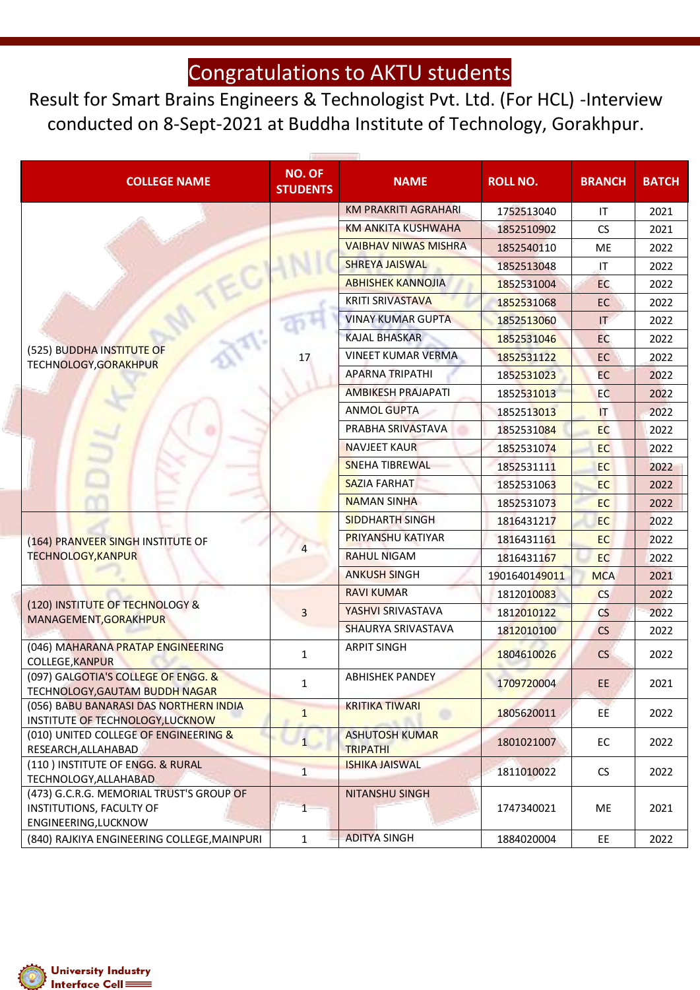Result for Smart Brains Engineers & Technologist Pvt. Ltd. (For HCL) -Interview conducted on 8-Sept-2021 at Buddha Institute of Technology, Gorakhpur.

| <b>COLLEGE NAME</b>                                                                                 | <b>NO. OF</b><br><b>STUDENTS</b> | <b>NAME</b>                              | <b>ROLL NO.</b> | <b>BRANCH</b>          | <b>BATCH</b> |
|-----------------------------------------------------------------------------------------------------|----------------------------------|------------------------------------------|-----------------|------------------------|--------------|
|                                                                                                     |                                  | <b>KM PRAKRITI AGRAHARI</b>              | 1752513040      | IT                     | 2021         |
|                                                                                                     |                                  | <b>KM ANKITA KUSHWAHA</b>                | 1852510902      | CS                     | 2021         |
|                                                                                                     |                                  | <b>VAIBHAV NIWAS MISHRA</b>              | 1852540110      | <b>ME</b>              | 2022         |
|                                                                                                     |                                  | <b>SHREYA JAISWAL</b>                    | 1852513048      | IT                     | 2022         |
|                                                                                                     |                                  | <b>ABHISHEK KANNOJIA</b>                 | 1852531004      | EC                     | 2022         |
|                                                                                                     |                                  | <b>KRITI SRIVASTAVA</b>                  | 1852531068      | EC                     | 2022         |
|                                                                                                     |                                  | <b>VINAY KUMAR GUPTA</b>                 | 1852513060      | IT                     | 2022         |
|                                                                                                     |                                  | <b>KAJAL BHASKAR</b>                     | 1852531046      | EC                     | 2022         |
| (525) BUDDHA INSTITUTE OF                                                                           | 17                               | <b>VINEET KUMAR VERMA</b>                | 1852531122      | <b>EC</b>              | 2022         |
| TECHNOLOGY, GORAKHPUR                                                                               |                                  | <b>APARNA TRIPATHI</b>                   | 1852531023      | <b>EC</b>              | 2022         |
|                                                                                                     |                                  | <b>AMBIKESH PRAJAPATI</b>                | 1852531013      | EC                     | 2022         |
|                                                                                                     |                                  | <b>ANMOL GUPTA</b>                       | 1852513013      | $\mathsf{I}\mathsf{T}$ | 2022         |
|                                                                                                     |                                  | PRABHA SRIVASTAVA                        | 1852531084      | <b>EC</b>              | 2022         |
|                                                                                                     |                                  | <b>NAVJEET KAUR</b>                      | 1852531074      | <b>EC</b>              | 2022         |
|                                                                                                     |                                  | <b>SNEHA TIBREWAL</b>                    | 1852531111      | EC                     | 2022         |
|                                                                                                     |                                  | <b>SAZIA FARHAT</b>                      | 1852531063      | <b>EC</b>              | 2022         |
|                                                                                                     |                                  | <b>NAMAN SINHA</b>                       | 1852531073      | <b>EC</b>              | 2022         |
|                                                                                                     |                                  | <b>SIDDHARTH SINGH</b>                   | 1816431217      | EC                     | 2022         |
| (164) PRANVEER SINGH INSTITUTE OF                                                                   |                                  | <b>PRIYANSHU KATIYAR</b>                 | 1816431161      | <b>EC</b>              | 2022         |
| <b>TECHNOLOGY, KANPUR</b>                                                                           |                                  | <b>RAHUL NIGAM</b>                       | 1816431167      | EC.                    | 2022         |
|                                                                                                     |                                  | <b>ANKUSH SINGH</b>                      | 1901640149011   | <b>MCA</b>             | 2021         |
|                                                                                                     |                                  | <b>RAVI KUMAR</b>                        | 1812010083      | <b>CS</b>              | 2022         |
| (120) INSTITUTE OF TECHNOLOGY &<br>MANAGEMENT, GORAKHPUR                                            | 3                                | YASHVI SRIVASTAVA                        | 1812010122      | CS                     | 2022         |
|                                                                                                     |                                  | SHAURYA SRIVASTAVA                       | 1812010100      | CS                     | 2022         |
| (046) MAHARANA PRATAP ENGINEERING<br><b>COLLEGE, KANPUR</b>                                         | $\mathbf{1}$                     | <b>ARPIT SINGH</b>                       | 1804610026      | CS                     | 2022         |
| (097) GALGOTIA'S COLLEGE OF ENGG. &<br>TECHNOLOGY,GAUTAM BUDDH NAGAR                                | 1                                | <b>ABHISHEK PANDEY</b>                   | 1709720004      | EE.                    | 2021         |
| (056) BABU BANARASI DAS NORTHERN INDIA<br>INSTITUTE OF TECHNOLOGY, LUCKNOW                          | $\mathbf{1}$                     | <b>KRITIKA TIWARI</b>                    | 1805620011      | EE.                    | 2022         |
| (010) UNITED COLLEGE OF ENGINEERING &<br>RESEARCH, ALLAHABAD                                        | $\mathbf{1}$                     | <b>ASHUTOSH KUMAR</b><br><b>TRIPATHI</b> | 1801021007      | EC                     | 2022         |
| (110) INSTITUTE OF ENGG. & RURAL<br>TECHNOLOGY, ALLAHABAD                                           | $\mathbf{1}$                     | <b>ISHIKA JAISWAL</b>                    | 1811010022      | <b>CS</b>              | 2022         |
| (473) G.C.R.G. MEMORIAL TRUST'S GROUP OF<br><b>INSTITUTIONS, FACULTY OF</b><br>ENGINEERING, LUCKNOW | $\mathbf{1}$                     | NITANSHU SINGH                           | 1747340021      | ME                     | 2021         |
| (840) RAJKIYA ENGINEERING COLLEGE, MAINPURI                                                         | $\mathbf{1}$                     | <b>ADITYA SINGH</b>                      | 1884020004      | EE.                    | 2022         |

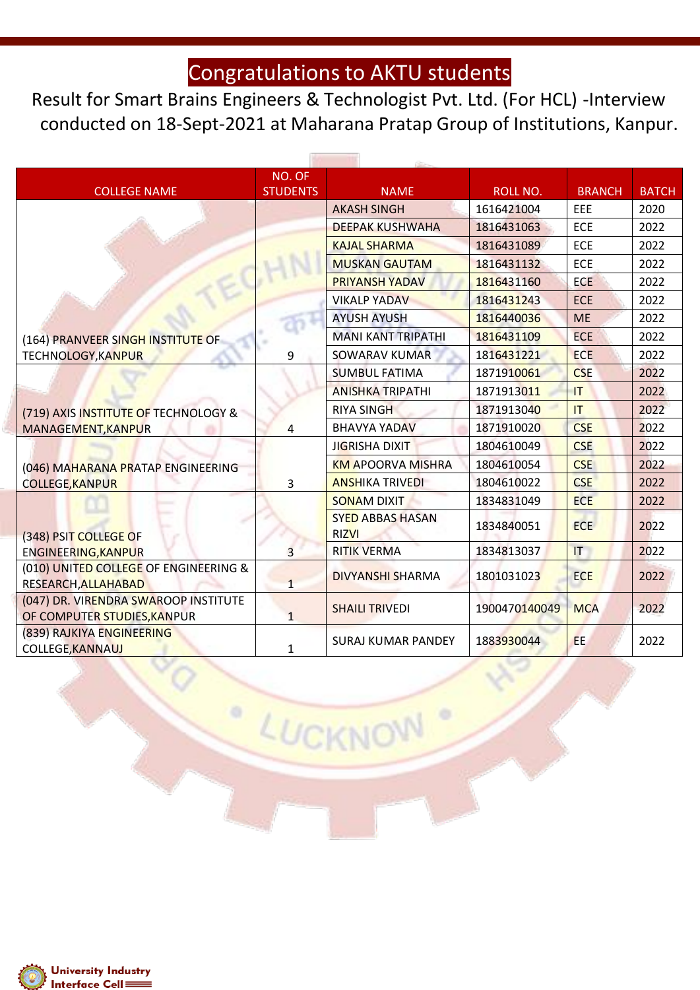Result for Smart Brains Engineers & Technologist Pvt. Ltd. (For HCL) -Interview conducted on 18-Sept-2021 at Maharana Pratap Group of Institutions, Kanpur.

 $-1$ 

**Silver** 

|                                                                     | NO. OF          |                                         |               |               |              |
|---------------------------------------------------------------------|-----------------|-----------------------------------------|---------------|---------------|--------------|
| <b>COLLEGE NAME</b>                                                 | <b>STUDENTS</b> | <b>NAME</b>                             | ROLL NO.      | <b>BRANCH</b> | <b>BATCH</b> |
|                                                                     |                 | <b>AKASH SINGH</b>                      | 1616421004    | EEE           | 2020         |
|                                                                     |                 | <b>DEEPAK KUSHWAHA</b>                  | 1816431063    | ECE           | 2022         |
|                                                                     |                 | <b>KAJAL SHARMA</b>                     | 1816431089    | <b>ECE</b>    | 2022         |
|                                                                     |                 | <b>MUSKAN GAUTAM</b>                    | 1816431132    | <b>ECE</b>    | 2022         |
|                                                                     |                 | <b>PRIYANSH YADAV</b>                   | 1816431160    | <b>ECE</b>    | 2022         |
|                                                                     |                 | <b>VIKALP YADAV</b>                     | 1816431243    | <b>ECE</b>    | 2022         |
|                                                                     |                 | <b>AYUSH AYUSH</b>                      | 1816440036    | <b>ME</b>     | 2022         |
| (164) PRANVEER SINGH INSTITUTE OF                                   |                 | <b>MANI KANT TRIPATHI</b>               | 1816431109    | <b>ECE</b>    | 2022         |
| <b>TECHNOLOGY, KANPUR</b>                                           | 9               | <b>SOWARAV KUMAR</b>                    | 1816431221    | <b>ECE</b>    | 2022         |
|                                                                     |                 | <b>SUMBUL FATIMA</b>                    | 1871910061    | <b>CSE</b>    | 2022         |
|                                                                     |                 | <b>ANISHKA TRIPATHI</b>                 | 1871913011    | T             | 2022         |
| (719) AXIS INSTITUTE OF TECHNOLOGY &                                |                 | <b>RIYA SINGH</b>                       | 1871913040    | IT            | 2022         |
| MANAGEMENT, KANPUR                                                  | 4               | <b>BHAVYA YADAV</b>                     | 1871910020    | <b>CSE</b>    | 2022         |
|                                                                     |                 | <b>JIGRISHA DIXIT</b>                   | 1804610049    | <b>CSE</b>    | 2022         |
| (046) MAHARANA PRATAP ENGINEERING                                   |                 | <b>KM APOORVA MISHRA</b>                | 1804610054    | <b>CSE</b>    | 2022         |
| <b>COLLEGE, KANPUR</b>                                              | 3               | <b>ANSHIKA TRIVEDI</b>                  | 1804610022    | <b>CSE</b>    | 2022         |
|                                                                     |                 | <b>SONAM DIXIT</b>                      | 1834831049    | <b>ECE</b>    | 2022         |
| (348) PSIT COLLEGE OF                                               |                 | <b>SYED ABBAS HASAN</b><br><b>RIZVI</b> | 1834840051    | <b>ECE</b>    | 2022         |
| ENGINEERING, KANPUR                                                 | $\overline{3}$  | <b>RITIK VERMA</b>                      | 1834813037    | IT            | 2022         |
| (010) UNITED COLLEGE OF ENGINEERING &<br>RESEARCH, ALLAHABAD        | $\mathbf{1}$    | <b>DIVYANSHI SHARMA</b>                 | 1801031023    | <b>ECE</b>    | 2022         |
| (047) DR. VIRENDRA SWAROOP INSTITUTE<br>OF COMPUTER STUDIES, KANPUR | $\mathbf{1}$    | <b>SHAILI TRIVEDI</b>                   | 1900470140049 | <b>MCA</b>    | 2022         |
| (839) RAJKIYA ENGINEERING<br><b>COLLEGE, KANNAUJ</b>                | $\mathbf{1}$    | <b>SURAJ KUMAR PANDEY</b>               | 1883930044    | EE.           | 2022         |

LUCKNOW

 $\circ$ 

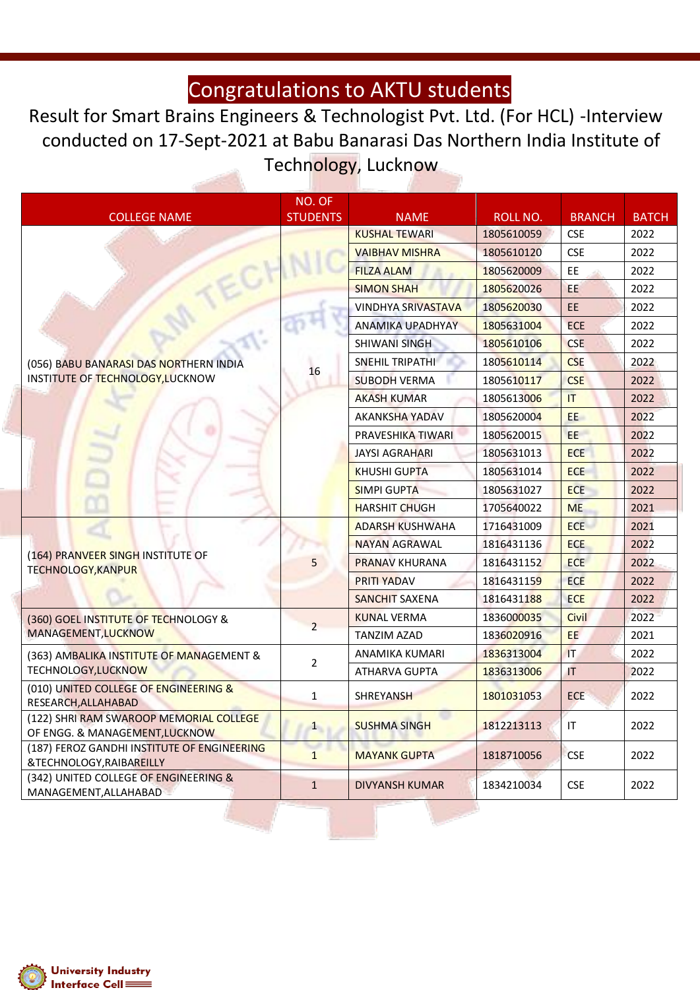Result for Smart Brains Engineers & Technologist Pvt. Ltd. (For HCL) -Interview conducted on 17-Sept-2021 at Babu Banarasi Das Northern India Institute of Technology, Lucknow

|                                                                           | NO. OF          |                           |            |               |              |
|---------------------------------------------------------------------------|-----------------|---------------------------|------------|---------------|--------------|
| <b>COLLEGE NAME</b>                                                       | <b>STUDENTS</b> | <b>NAME</b>               | ROLL NO.   | <b>BRANCH</b> | <b>BATCH</b> |
|                                                                           |                 | <b>KUSHAL TEWARI</b>      | 1805610059 | <b>CSE</b>    | 2022         |
|                                                                           |                 | <b>VAIBHAV MISHRA</b>     | 1805610120 | <b>CSE</b>    | 2022         |
|                                                                           |                 | <b>FILZA ALAM</b>         | 1805620009 | EE            | 2022         |
|                                                                           |                 | <b>SIMON SHAH</b>         | 1805620026 | EE            | 2022         |
|                                                                           |                 | <b>VINDHYA SRIVASTAVA</b> | 1805620030 | <b>EE</b>     | 2022         |
|                                                                           |                 | <b>ANAMIKA UPADHYAY</b>   | 1805631004 | <b>ECE</b>    | 2022         |
|                                                                           |                 | <b>SHIWANI SINGH</b>      | 1805610106 | <b>CSE</b>    | 2022         |
| (056) BABU BANARASI DAS NORTHERN INDIA                                    | 16              | SNEHIL TRIPATHI           | 1805610114 | <b>CSE</b>    | 2022         |
| INSTITUTE OF TECHNOLOGY, LUCKNOW                                          |                 | <b>SUBODH VERMA</b>       | 1805610117 | <b>CSE</b>    | 2022         |
|                                                                           |                 | <b>AKASH KUMAR</b>        | 1805613006 | IT            | 2022         |
|                                                                           |                 | <b>AKANKSHA YADAV</b>     | 1805620004 | EE.           | 2022         |
|                                                                           |                 | PRAVESHIKA TIWARI         | 1805620015 | EE            | 2022         |
|                                                                           |                 | <b>JAYSI AGRAHARI</b>     | 1805631013 | <b>ECE</b>    | 2022         |
|                                                                           |                 | <b>KHUSHI GUPTA</b>       | 1805631014 | <b>ECE</b>    | 2022         |
|                                                                           |                 | <b>SIMPI GUPTA</b>        | 1805631027 | <b>ECE</b>    | 2022         |
|                                                                           |                 | <b>HARSHIT CHUGH</b>      | 1705640022 | <b>ME</b>     | 2021         |
|                                                                           |                 | <b>ADARSH KUSHWAHA</b>    | 1716431009 | <b>ECE</b>    | 2021         |
|                                                                           |                 | <b>NAYAN AGRAWAL</b>      | 1816431136 | <b>ECE</b>    | 2022         |
| (164) PRANVEER SINGH INSTITUTE OF                                         | 5               | <b>PRANAV KHURANA</b>     | 1816431152 | <b>ECE</b>    | 2022         |
| <b>TECHNOLOGY, KANPUR</b>                                                 |                 | <b>PRITI YADAV</b>        | 1816431159 | <b>ECE</b>    | 2022         |
|                                                                           |                 | <b>SANCHIT SAXENA</b>     | 1816431188 | <b>ECE</b>    | 2022         |
| (360) GOEL INSTITUTE OF TECHNOLOGY &                                      |                 | <b>KUNAL VERMA</b>        | 1836000035 | <b>Civil</b>  | 2022         |
| MANAGEMENT, LUCKNOW                                                       | $\overline{2}$  | <b>TANZIM AZAD</b>        | 1836020916 | <b>EE</b>     | 2021         |
| (363) AMBALIKA INSTITUTE OF MANAGEMENT &                                  |                 | ANAMIKA KUMARI            | 1836313004 | IT.           | 2022         |
| <b>TECHNOLOGY, LUCKNOW</b>                                                | $\overline{2}$  | <b>ATHARVA GUPTA</b>      | 1836313006 | IT            | 2022         |
| (010) UNITED COLLEGE OF ENGINEERING &                                     |                 |                           |            |               |              |
| RESEARCH, ALLAHABAD                                                       | 1               | <b>SHREYANSH</b>          | 1801031053 | <b>ECE</b>    | 2022         |
| (122) SHRI RAM SWAROOP MEMORIAL COLLEGE<br>OF ENGG. & MANAGEMENT, LUCKNOW | $1 \quad$       | <b>SUSHMA SINGH</b>       | 1812213113 | IT            | 2022         |
| (187) FEROZ GANDHI INSTITUTE OF ENGINEERING<br>&TECHNOLOGY, RAIBAREILLY   | $\mathbf{1}$    | <b>MAYANK GUPTA</b>       | 1818710056 | <b>CSE</b>    | 2022         |
| (342) UNITED COLLEGE OF ENGINEERING &<br>MANAGEMENT, ALLAHABAD            | $\mathbf{1}$    | <b>DIVYANSH KUMAR</b>     | 1834210034 | <b>CSE</b>    | 2022         |

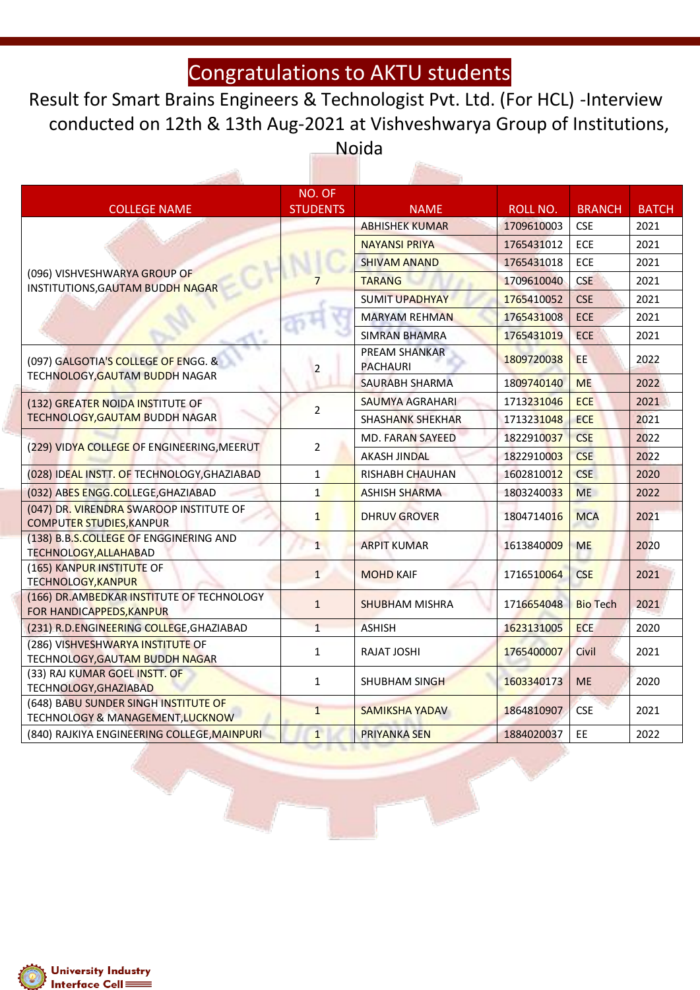Result for Smart Brains Engineers & Technologist Pvt. Ltd. (For HCL) -Interview conducted on 12th & 13th Aug-2021 at Vishveshwarya Group of Institutions, Noida

an-

| <b>COLLEGE NAME</b>                                                        | NO. OF<br><b>STUDENTS</b> | <b>NAME</b>                             | ROLL NO.   | <b>BRANCH</b>   | <b>BATCH</b> |
|----------------------------------------------------------------------------|---------------------------|-----------------------------------------|------------|-----------------|--------------|
|                                                                            |                           | <b>ABHISHEK KUMAR</b>                   | 1709610003 | <b>CSE</b>      | 2021         |
|                                                                            |                           | <b>NAYANSI PRIYA</b>                    | 1765431012 | ECE             | 2021         |
|                                                                            |                           | <b>SHIVAM ANAND</b>                     | 1765431018 | ECE             | 2021         |
| (096) VISHVESHWARYA GROUP OF<br>INSTITUTIONS, GAUTAM BUDDH NAGAR           |                           | <b>TARANG</b>                           | 1709610040 | <b>CSE</b>      | 2021         |
|                                                                            |                           | <b>SUMIT UPADHYAY</b>                   | 1765410052 | <b>CSE</b>      | 2021         |
|                                                                            |                           | <b>MARYAM REHMAN</b>                    | 1765431008 | ECE             | 2021         |
|                                                                            |                           | <b>SIMRAN BHAMRA</b>                    | 1765431019 | <b>ECE</b>      | 2021         |
| (097) GALGOTIA' <mark>S COLLEGE OF E</mark> NGG. &                         | $\overline{2}$            | <b>PREAM SHANKAR</b><br><b>PACHAURI</b> | 1809720038 | EE              | 2022         |
| TECHNOLOGY, GAUTAM BUDDH NAGAR                                             |                           | SAURABH SHARMA                          | 1809740140 | <b>ME</b>       | 2022         |
| (132) GREATER NOIDA INSTITUTE OF                                           |                           | <b>SAUMYA AGRAHARI</b>                  | 1713231046 | <b>ECE</b>      | 2021         |
| TECHNOLOGY, GAUTAM BUDDH NAGAR                                             | $\overline{2}$            | <b>SHASHANK SHEKHAR</b>                 | 1713231048 | <b>ECE</b>      | 2021         |
|                                                                            | $\overline{2}$            | MD. FARAN SAYEED                        | 1822910037 | <b>CSE</b>      | 2022         |
| (229) VIDYA COLLEGE OF ENGINEERING, MEERUT                                 |                           | <b>AKASH JINDAL</b>                     | 1822910003 | <b>CSE</b>      | 2022         |
| (028) IDEAL INSTT. OF TECHNOLOGY, GHAZIABAD                                | 1                         | <b>RISHABH CHAUHAN</b>                  | 1602810012 | <b>CSE</b>      | 2020         |
| (032) ABES ENGG.COLLEGE, GHAZIABAD                                         | $\mathbf{1}$              | <b>ASHISH SHARMA</b>                    | 1803240033 | <b>ME</b>       | 2022         |
| (047) DR. VIRENDRA SWAROOP INSTITUTE OF<br><b>COMPUTER STUDIES, KANPUR</b> | $\mathbf{1}$              | <b>DHRUV GROVER</b>                     | 1804714016 | <b>MCA</b>      | 2021         |
| (138) B.B.S.COLLEGE OF ENGGINERING AND<br><b>TECHNOLOGY, ALLAHABAD</b>     | $\mathbf{1}$              | <b>ARPIT KUMAR</b>                      | 1613840009 | <b>ME</b>       | 2020         |
| (165) KANPUR INSTITUTE OF<br><b>TECHNOLOGY, KANPUR</b>                     | $\mathbf{1}$              | <b>MOHD KAIF</b>                        | 1716510064 | <b>CSE</b>      | 2021         |
| (166) DR. AMBEDKAR INSTITUTE OF TECHNOLOGY<br>FOR HANDICAPPEDS, KANPUR     | $\mathbf{1}$              | <b>SHUBHAM MISHRA</b>                   | 1716654048 | <b>Bio Tech</b> | 2021         |
| (231) R.D.ENGINEERING COLLEGE, GHAZIABAD                                   | $\overline{1}$            | <b>ASHISH</b>                           | 1623131005 | <b>ECE</b>      | 2020         |
| (286) VISHVESHWARYA INSTITUTE OF<br><b>TECHNOLOGY, GAUTAM BUDDH NAGAR</b>  | $\mathbf{1}$              | RAJAT JOSHI                             | 1765400007 | Civil           | 2021         |
| (33) RAJ KUMAR GOEL INSTT. OF<br>TECHNOLOGY, GHAZIABAD                     | $\mathbf{1}$              | SHUBHAM SINGH                           | 1603340173 | <b>ME</b>       | 2020         |
| (648) BABU SUNDER SINGH INSTITUTE OF<br>TECHNOLOGY & MANAGEMENT, LUCKNOW   | $\mathbf{1}$              | <b>SAMIKSHA YADAV</b>                   | 1864810907 | <b>CSE</b>      | 2021         |
| (840) RAJKIYA ENGINEERING COLLEGE, MAINPURI                                | $\overline{1}$            | <b>PRIYANKA SEN</b>                     | 1884020037 | EE              | 2022         |